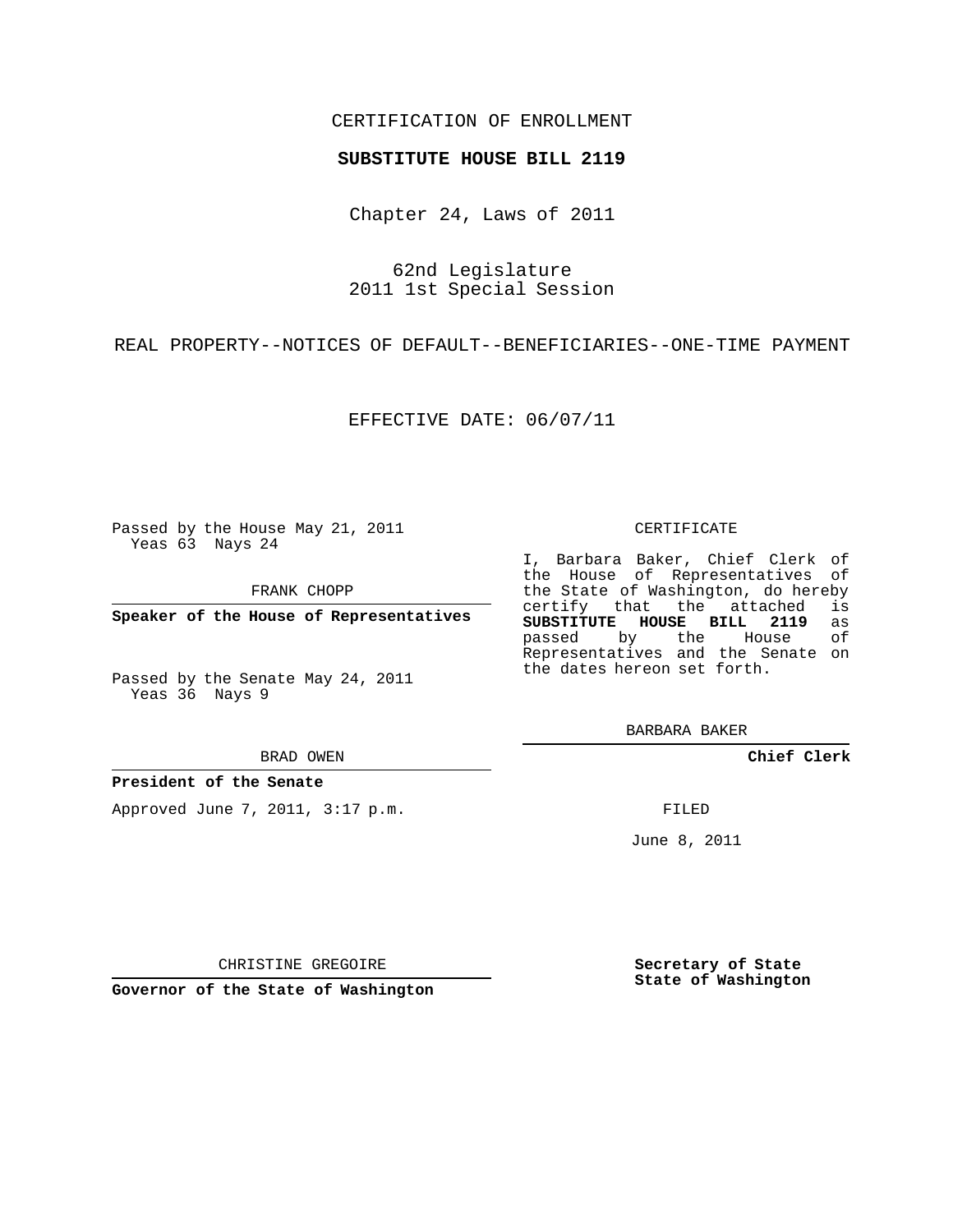### CERTIFICATION OF ENROLLMENT

#### **SUBSTITUTE HOUSE BILL 2119**

Chapter 24, Laws of 2011

62nd Legislature 2011 1st Special Session

REAL PROPERTY--NOTICES OF DEFAULT--BENEFICIARIES--ONE-TIME PAYMENT

EFFECTIVE DATE: 06/07/11

Passed by the House May 21, 2011 Yeas 63 Nays 24

FRANK CHOPP

**Speaker of the House of Representatives**

BRAD OWEN

**President of the Senate**

Approved June 7, 2011, 3:17 p.m.

#### CERTIFICATE

I, Barbara Baker, Chief Clerk of the House of Representatives of the State of Washington, do hereby<br>certify that the attached is certify that the attached is<br>**SUBSTITUTE HOUSE BILL 2119** as **SUBSTITUTE HOUSE BILL 2119** as passed by the House Representatives and the Senate on the dates hereon set forth.

BARBARA BAKER

**Chief Clerk**

FILED

June 8, 2011

**Secretary of State State of Washington**

CHRISTINE GREGOIRE

**Governor of the State of Washington**

Passed by the Senate May 24, 2011 Yeas 36 Nays 9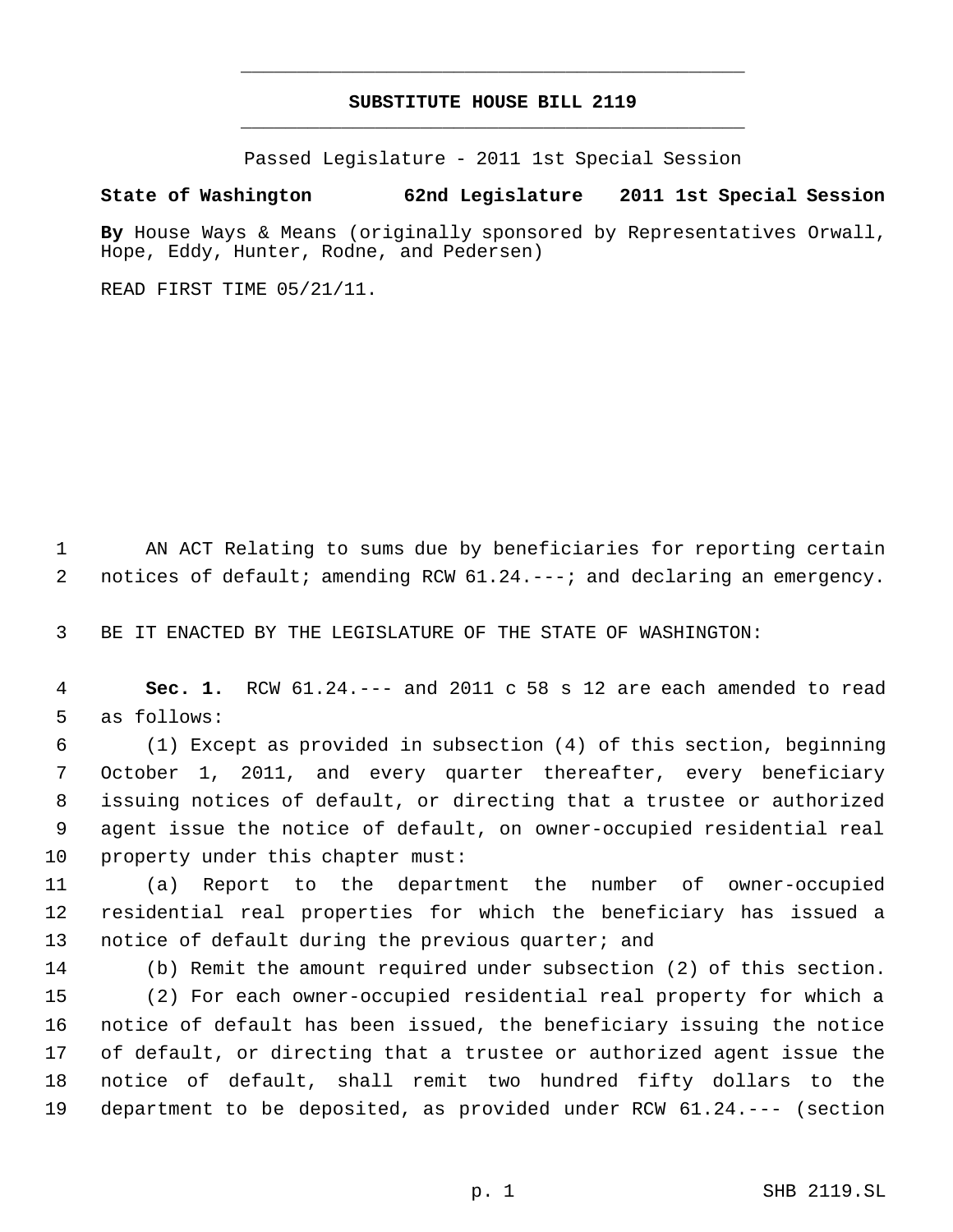# **SUBSTITUTE HOUSE BILL 2119** \_\_\_\_\_\_\_\_\_\_\_\_\_\_\_\_\_\_\_\_\_\_\_\_\_\_\_\_\_\_\_\_\_\_\_\_\_\_\_\_\_\_\_\_\_

\_\_\_\_\_\_\_\_\_\_\_\_\_\_\_\_\_\_\_\_\_\_\_\_\_\_\_\_\_\_\_\_\_\_\_\_\_\_\_\_\_\_\_\_\_

Passed Legislature - 2011 1st Special Session

## **State of Washington 62nd Legislature 2011 1st Special Session**

**By** House Ways & Means (originally sponsored by Representatives Orwall, Hope, Eddy, Hunter, Rodne, and Pedersen)

READ FIRST TIME 05/21/11.

 AN ACT Relating to sums due by beneficiaries for reporting certain 2 notices of default; amending RCW 61.24. ---; and declaring an emergency.

BE IT ENACTED BY THE LEGISLATURE OF THE STATE OF WASHINGTON:

 **Sec. 1.** RCW 61.24.--- and 2011 c 58 s 12 are each amended to read as follows:

 (1) Except as provided in subsection (4) of this section, beginning October 1, 2011, and every quarter thereafter, every beneficiary issuing notices of default, or directing that a trustee or authorized agent issue the notice of default, on owner-occupied residential real property under this chapter must:

 (a) Report to the department the number of owner-occupied residential real properties for which the beneficiary has issued a 13 notice of default during the previous quarter; and

 (b) Remit the amount required under subsection (2) of this section. (2) For each owner-occupied residential real property for which a notice of default has been issued, the beneficiary issuing the notice of default, or directing that a trustee or authorized agent issue the notice of default, shall remit two hundred fifty dollars to the department to be deposited, as provided under RCW 61.24.--- (section